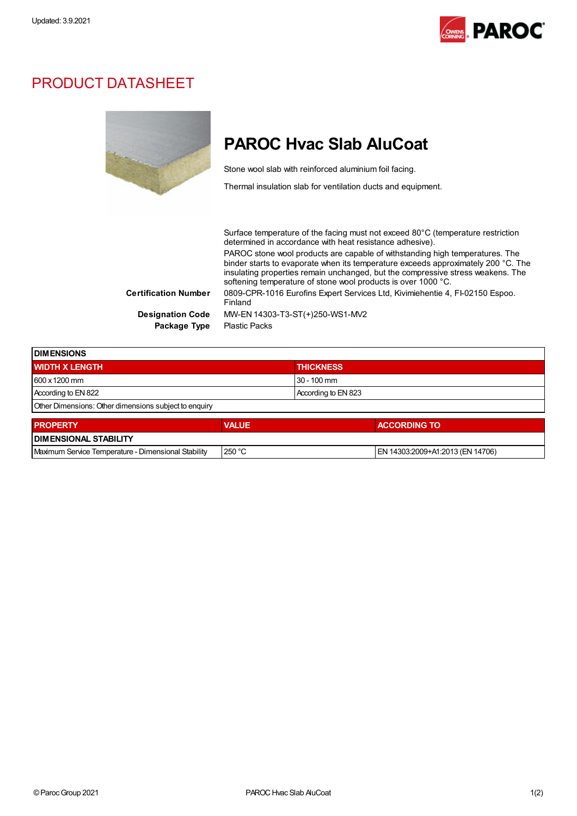

## PRODUCT DATASHEET

|                             | <b>PAROC Hyac Slab AluCoat</b>                                                                                                                                                                                                                                                                                        |
|-----------------------------|-----------------------------------------------------------------------------------------------------------------------------------------------------------------------------------------------------------------------------------------------------------------------------------------------------------------------|
|                             | Stone wool slab with reinforced aluminium foil facing.                                                                                                                                                                                                                                                                |
|                             | Thermal insulation slab for ventilation ducts and equipment.                                                                                                                                                                                                                                                          |
|                             | Surface temperature of the facing must not exceed $80^{\circ}$ C (temperature restriction<br>determined in accordance with heat resistance adhesive).                                                                                                                                                                 |
|                             | PAROC stone wool products are capable of withstanding high temperatures. The<br>binder starts to evaporate when its temperature exceeds approximately 200 °C. The<br>insulating properties remain unchanged, but the compressive stress weakens. The<br>softening temperature of stone wool products is over 1000 °C. |
| <b>Certification Number</b> | 0809-CPR-1016 Eurofins Expert Services Ltd, Kivimiehentie 4, FI-02150 Espoo.<br>Finland                                                                                                                                                                                                                               |
| <b>Designation Code</b>     | MW-EN 14303-T3-ST(+)250-WS1-MV2                                                                                                                                                                                                                                                                                       |
| Package Type                | <b>Plastic Packs</b>                                                                                                                                                                                                                                                                                                  |
|                             |                                                                                                                                                                                                                                                                                                                       |

| <b>IDIMENSIONS</b>                                    |                     |  |
|-------------------------------------------------------|---------------------|--|
| <b>WIDTH X LENGTH</b>                                 | <b>THICKNESS</b>    |  |
| 600 x 1200 mm                                         | l 30 - 100 mm       |  |
| According to EN 822                                   | According to EN 823 |  |
| Other Dimensions: Other dimensions subject to enquiry |                     |  |
|                                                       |                     |  |

| <b>PROPERTY</b>                                     | <b>VALUE</b> | <b>ACCORDING TO</b>              |  |  |  |
|-----------------------------------------------------|--------------|----------------------------------|--|--|--|
| <b>DIMENSIONAL STABILITY</b>                        |              |                                  |  |  |  |
| Maximum Service Temperature - Dimensional Stability | 1250 °C      | EN 14303:2009+A1:2013 (EN 14706) |  |  |  |